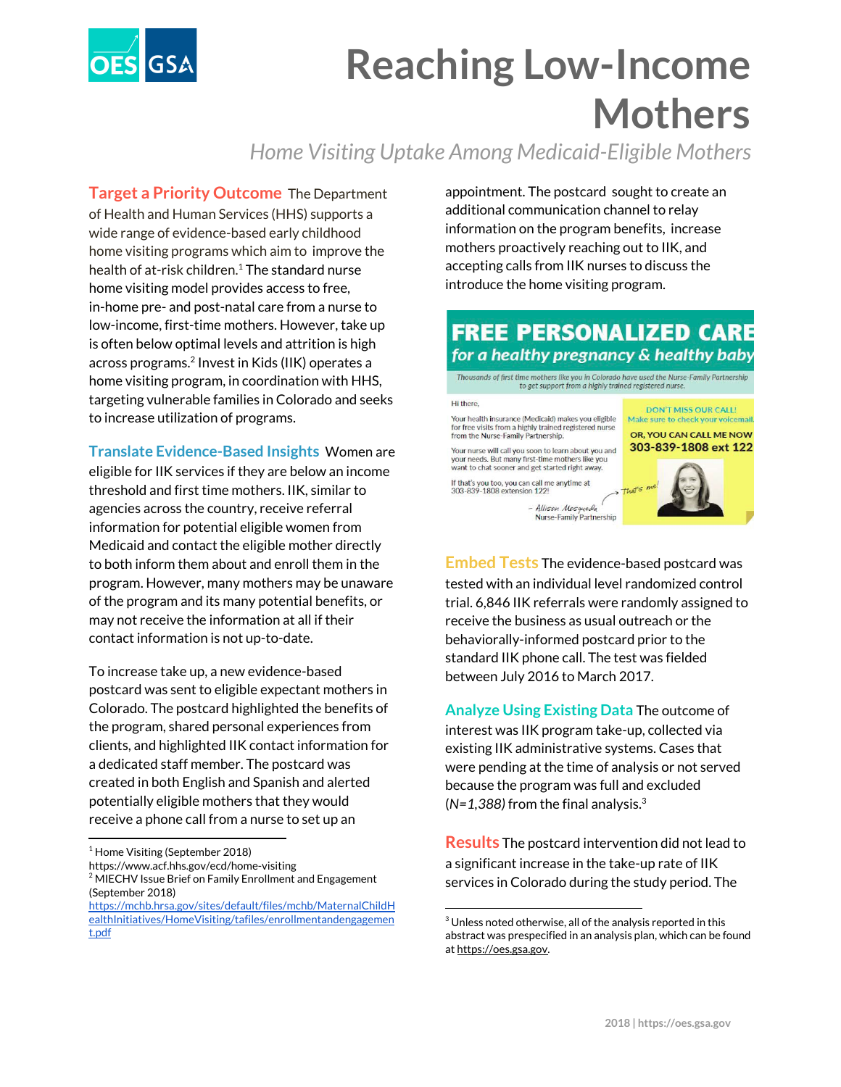

# **Reaching Low-Income Mothers**

### *Home Visiting Uptake Among Medicaid-Eligible Mothers*

**Target a Priority Outcome** The Department of Health and Human Services (HHS) supports a wide range of evidence-based early childhood home visiting programs which aim to improve the health of at-risk children. $1$  The standard nurse home visiting model provides access to free, in-home pre- and post-natal care from a nurse to low-income, first-time mothers. However, take up is often below optimal levels and attrition is high across programs.<sup>2</sup> Invest in Kids (IIK) operates a home visiting program, in coordination with HHS, targeting vulnerable families in Colorado and seeks to increase utilization of programs.

**Translate Evidence-Based Insights** Women are

eligible for IIK services if they are below an income threshold and first time mothers. IIK, similar to agencies across the country, receive referral information for potential eligible women from Medicaid and contact the eligible mother directly to both inform them about and enroll them in the program. However, many mothers may be unaware of the program and its many potential benefits, or may not receive the information at all if their contact information is not up-to-date.

To increase take up, a new evidence-based postcard was sent to eligible expectant mothers in Colorado. The postcard highlighted the benefits of the program, shared personal experiences from clients, and highlighted IIK contact information for a dedicated staff member. The postcard was created in both English and Spanish and alerted potentially eligible mothers that they would receive a phone call from a nurse to set up an

https://www.acf.hhs.gov/ecd/home-visiting

appointment. The postcard sought to create an additional communication channel to relay information on the program benefits, increase mothers proactively reaching out to IIK, and accepting calls from IIK nurses to discuss the introduce the home visiting program.

### **FREE PERSONALIZED CARE** for a healthy pregnancy & healthy baby

Thousands of first time mothers like you in Colorado have used the Nurse-Family Partnership to get support from a highly trained registered nurse

#### Hi there **DON'T MISS OUR CALL!** Make sure to check your voicemail Your health insurance (Medicaid) makes you eligible for free visits from a highly trained registered nurse from the Nurse-Family Partnership. OR, YOU CAN CALL ME NOW 303-839-1808 ext 122 Your nurse will call you soon to learn about you and your needs. But many first-time mothers like you<br>want to chat sooner and get started right away. If that's you too, you can call me anytime at<br>303-839-1808 extension 122! Allison Mosqueda



**Embed Tests The evidence-based postcard was** tested with an individual level randomized control trial. 6,846 IIK referrals were randomly assigned to receive the business as usual outreach or the behaviorally-informed postcard prior to the standard IIK phone call. The test was fielded between July 2016 to March 2017.

**Analyze Using Existing Data** The outcome of interest was IIK program take-up, collected via existing IIK administrative systems. Cases that were pending at the time of analysis or not served because the program was full and excluded (*N=1,388)* from the final analysis. 3

**Results** The postcard intervention did not lead to a significant increase in the take-up rate of IIK services in Colorado during the study period. The

 $<sup>1</sup>$  Home Visiting (September 2018)</sup>

<sup>&</sup>lt;sup>2</sup> MIECHV Issue Brief on Family Enrollment and Engagement (September 2018)

[https://mchb.hrsa.gov/sites/default/files/mchb/MaternalChildH](https://mchb.hrsa.gov/sites/default/files/mchb/MaternalChildHealthInitiatives/HomeVisiting/tafiles/enrollmentandengagement.pdf) [ealthInitiatives/HomeVisiting/tafiles/enrollmentandengagemen](https://mchb.hrsa.gov/sites/default/files/mchb/MaternalChildHealthInitiatives/HomeVisiting/tafiles/enrollmentandengagement.pdf) [t.pdf](https://mchb.hrsa.gov/sites/default/files/mchb/MaternalChildHealthInitiatives/HomeVisiting/tafiles/enrollmentandengagement.pdf)

 $3$  Unless noted otherwise, all of the analysis reported in this abstract was prespecified in an analysis plan, which can be found at [https://oes.gsa.gov.](https://oes.gsa.gov/)